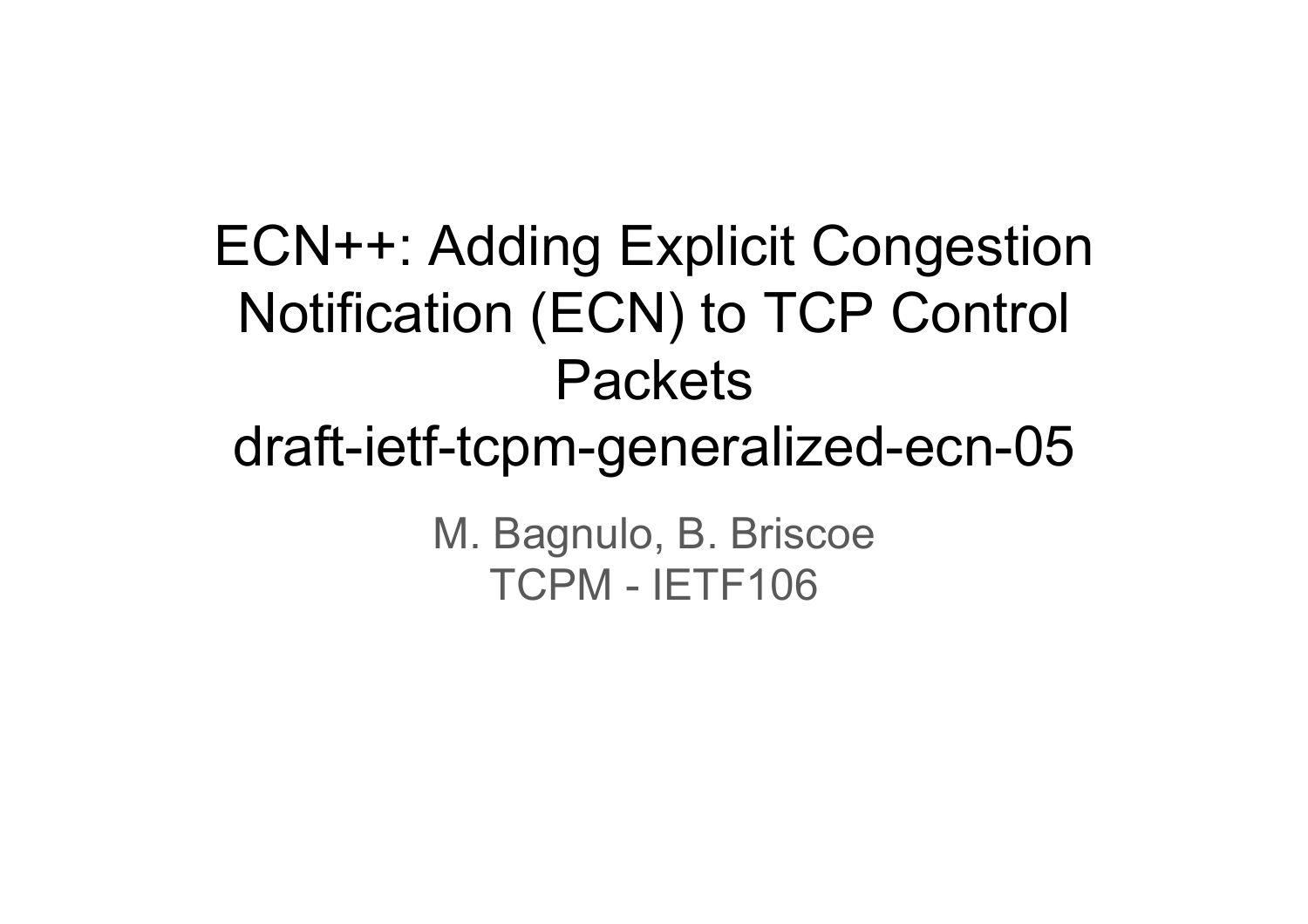ECN++: Adding Explicit Congestion Notification (ECN) to TCP Control **Packets** draft-ietf-tcpm-generalized-ecn-05 M. Bagnulo, B. Briscoe TCPM - IETF106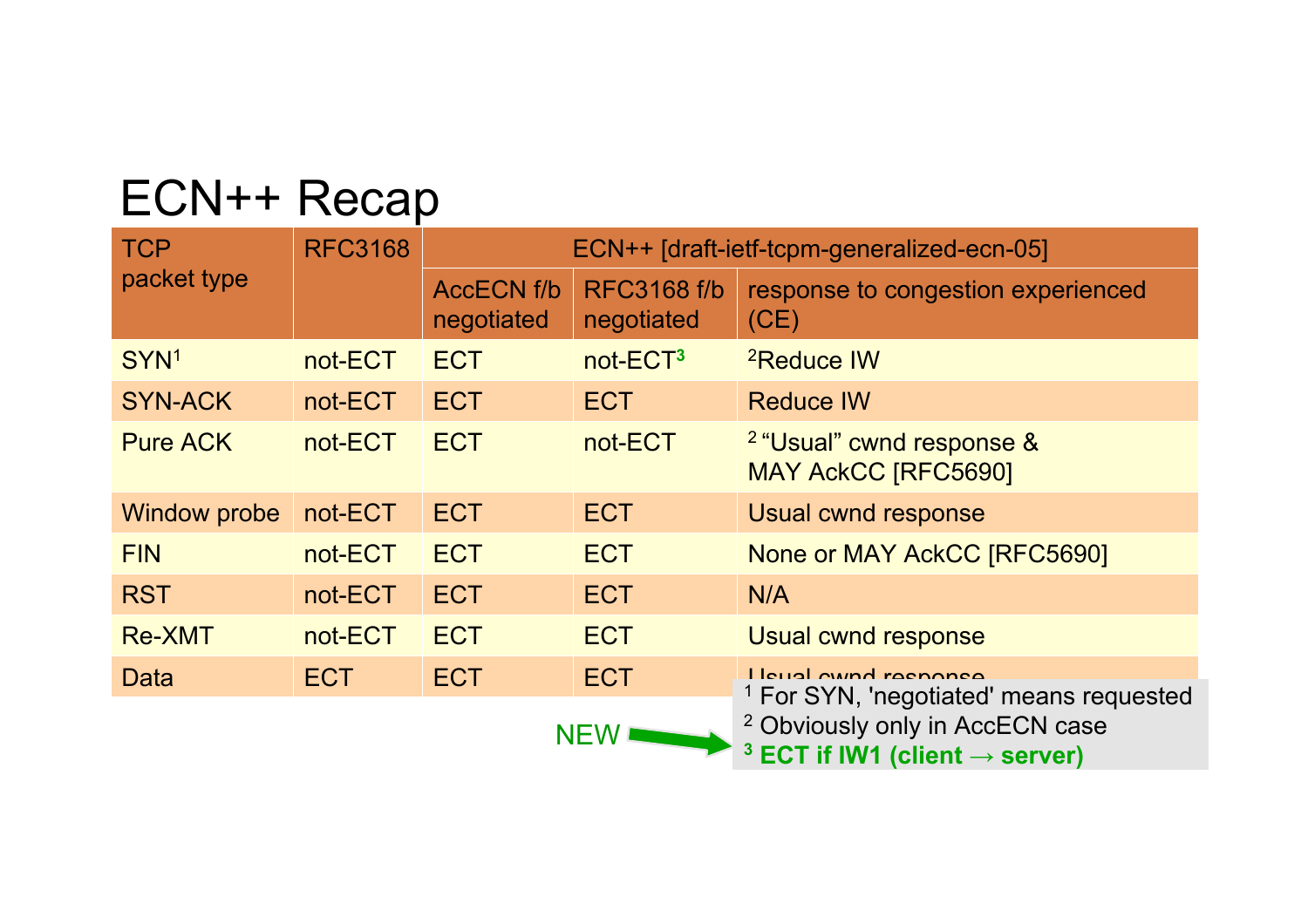## ECN++ Recap

| <b>TCP</b><br>packet type | <b>RFC3168</b> | ECN++ [draft-ietf-tcpm-generalized-ecn-05] |                                  |                                                                                                                                                                                     |
|---------------------------|----------------|--------------------------------------------|----------------------------------|-------------------------------------------------------------------------------------------------------------------------------------------------------------------------------------|
|                           |                | <b>AccECN f/b</b><br>negotiated            | <b>RFC3168 f/b</b><br>negotiated | response to congestion experienced<br>(CE)                                                                                                                                          |
| SYN <sup>1</sup>          | not-ECT        | <b>ECT</b>                                 | not-ECT <sup>3</sup>             | <sup>2</sup> Reduce IW                                                                                                                                                              |
| <b>SYN-ACK</b>            | not-ECT        | <b>ECT</b>                                 | <b>ECT</b>                       | <b>Reduce IW</b>                                                                                                                                                                    |
| <b>Pure ACK</b>           | not-ECT        | <b>ECT</b>                                 | not-ECT                          | <sup>2</sup> "Usual" cwnd response &<br><b>MAY AckCC [RFC5690]</b>                                                                                                                  |
| Window probe              | not-ECT        | <b>ECT</b>                                 | <b>ECT</b>                       | Usual cwnd response                                                                                                                                                                 |
| <b>FIN</b>                | not-ECT        | <b>ECT</b>                                 | <b>ECT</b>                       | None or MAY AckCC [RFC5690]                                                                                                                                                         |
| <b>RST</b>                | not-ECT        | <b>ECT</b>                                 | <b>ECT</b>                       | N/A                                                                                                                                                                                 |
| <b>Re-XMT</b>             | not-ECT        | <b>ECT</b>                                 | <b>ECT</b>                       | <b>Usual cwnd response</b>                                                                                                                                                          |
| Data                      | ECT.           | <b>ECT</b>                                 | <b>ECT</b>                       | I leugl cuind reconnee<br><sup>1</sup> For SYN, 'negotiated' means requested<br><sup>2</sup> Obviously only in AccECN case<br><sup>3</sup> ECT if IW1 (client $\rightarrow$ server) |
|                           |                |                                            | <b>NEW</b>                       |                                                                                                                                                                                     |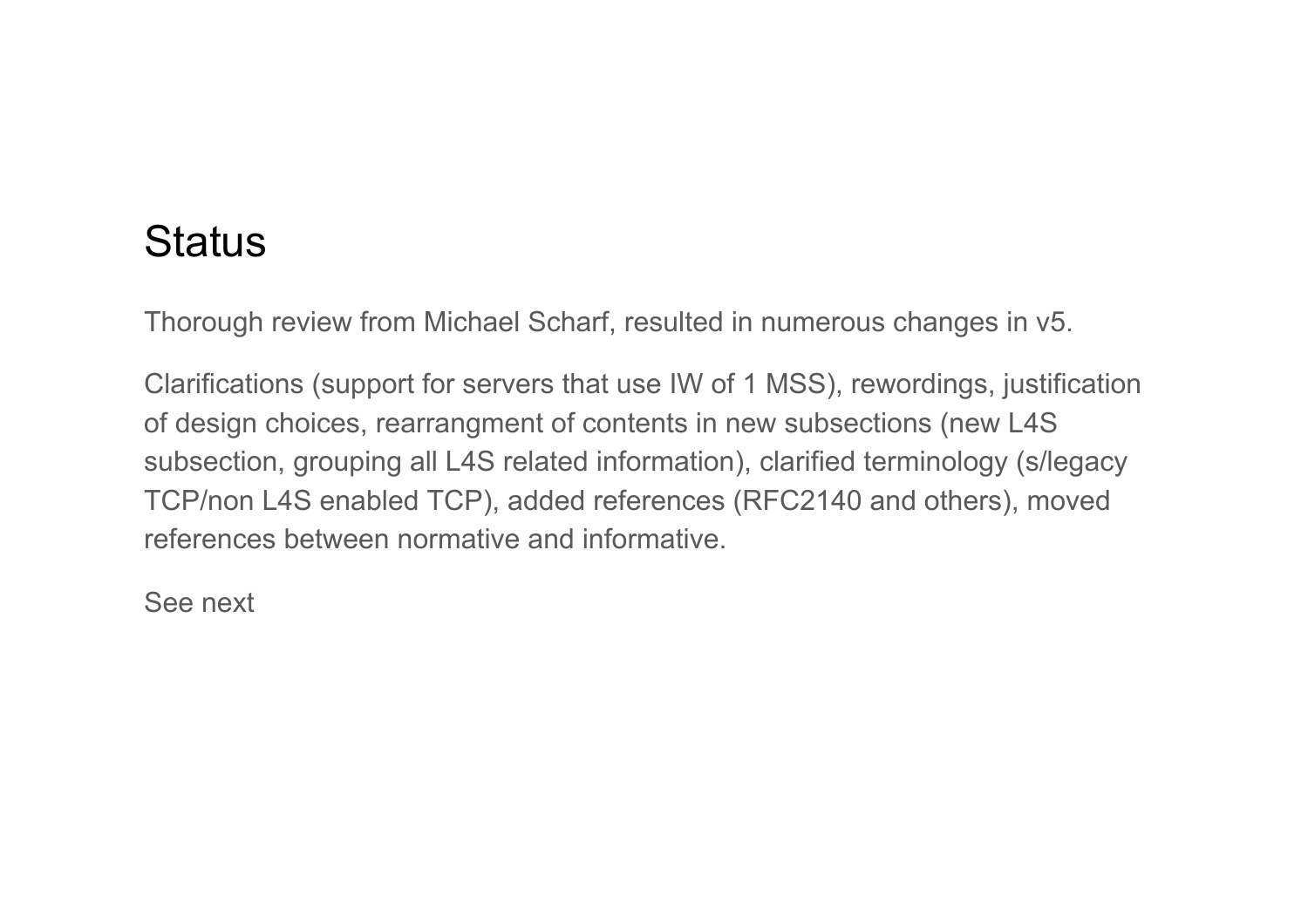## **Status**

Thorough review from Michael Scharf, resulted in numerous changes in v5.

Clarifications (support for servers that use IW of 1 MSS), rewordings, justification of design choices, rearrangment of contents in new subsections (new L4S subsection, grouping all L4S related information), clarified terminology (s/legacy TCP/non L4S enabled TCP), added references (RFC2140 and others), moved references between normative and informative.

See next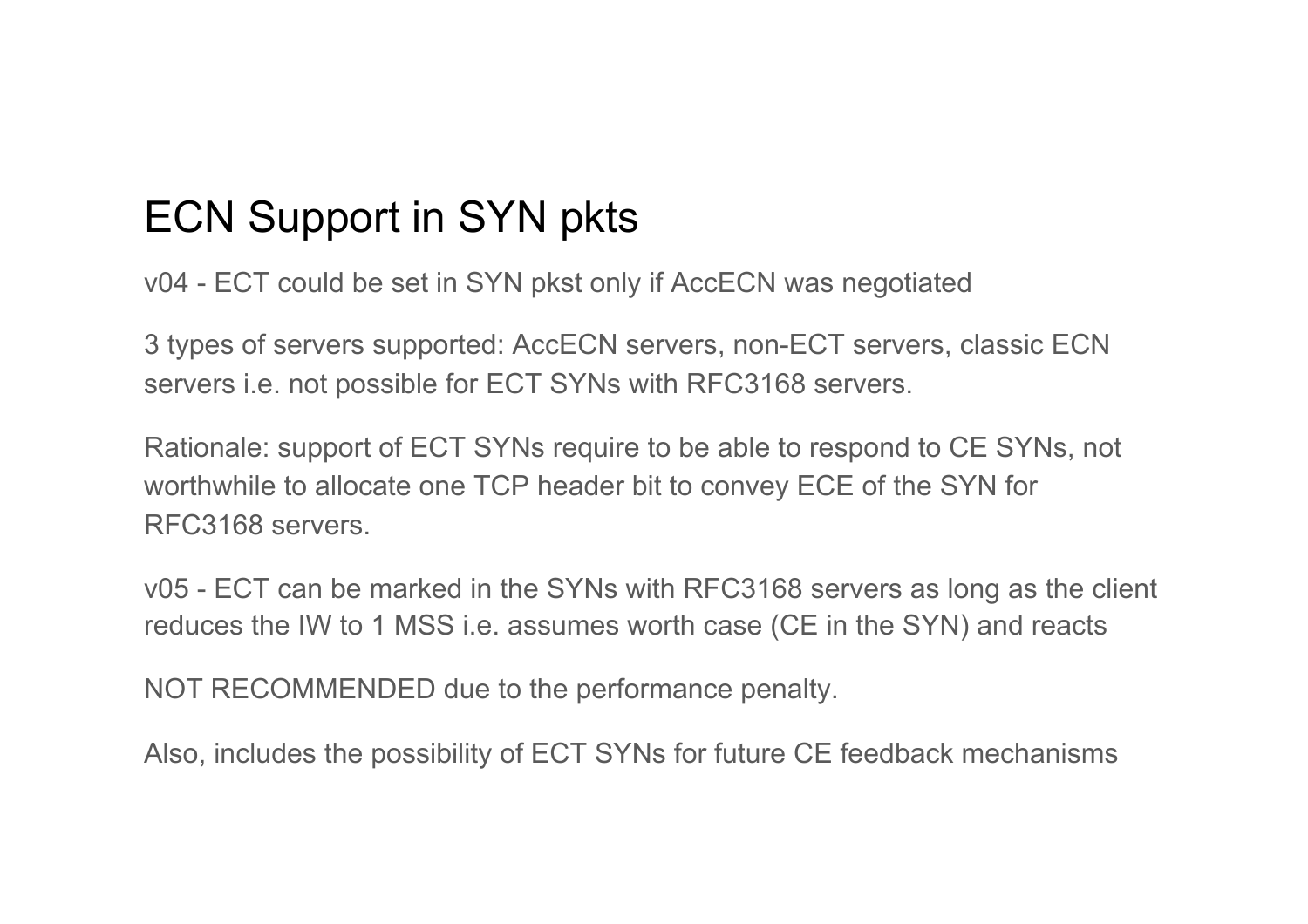## ECN Support in SYN pkts

v04 - ECT could be set in SYN pkst only if AccECN was negotiated

3 types of servers supported: AccECN servers, non-ECT servers, classic ECN servers i.e. not possible for ECT SYNs with RFC3168 servers.

Rationale: support of ECT SYNs require to be able to respond to CE SYNs, not worthwhile to allocate one TCP header bit to convey ECE of the SYN for RFC3168 servers.

v05 - ECT can be marked in the SYNs with RFC3168 servers as long as the client reduces the IW to 1 MSS i.e. assumes worth case (CE in the SYN) and reacts

NOT RECOMMENDED due to the performance penalty.

Also, includes the possibility of ECT SYNs for future CE feedback mechanisms